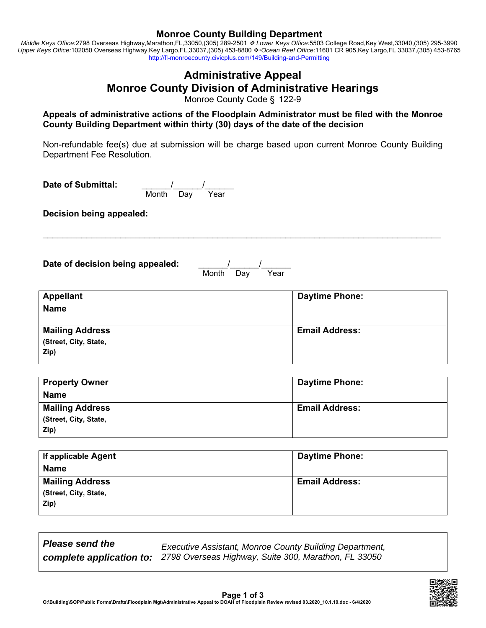### **Monroe County Building Department**

*Middle Keys Office:*2798 Overseas Highway,Marathon,FL,33050,(305) 289-2501  *Lower Keys Office:*5503 College Road,Key West,33040,(305) 295-3990 Upper Keys Office:102050 Overseas Highway,Key Largo,FL,33037,(305) 453-8800 ❖ Ocean Reef Office:11601 CR 905,Key Largo,FL 33037,(305) 453-8765 http://fl-monroecounty.civicplus.com/149/Building-and-Permitting

# **Administrative Appeal Monroe County Division of Administrative Hearings**

Monroe County Code § 122-9

**Appeals of administrative actions of the Floodplain Administrator must be filed with the Monroe County Building Department within thirty (30) days of the date of the decision** 

Non-refundable fee(s) due at submission will be charge based upon current Monroe County Building Department Fee Resolution.

Date of Submittal: <u>\_\_\_\_\_\_\_/\_\_\_\_\_\_/\_\_\_\_\_\_</u> Month Day Year

**Decision being appealed:**

Date of decision being appealed:

 $\frac{1}{\sqrt{2\pi}}$  Month Day Year

\_\_\_\_\_\_\_\_\_\_\_\_\_\_\_\_\_\_\_\_\_\_\_\_\_\_\_\_\_\_\_\_\_\_\_\_\_\_\_\_\_\_\_\_\_\_\_\_\_\_\_\_\_\_\_\_\_\_\_\_\_\_\_\_\_\_\_\_\_\_\_\_\_\_\_\_\_\_\_\_\_\_

| <b>Appellant</b><br><b>Name</b>                         | <b>Daytime Phone:</b> |
|---------------------------------------------------------|-----------------------|
| <b>Mailing Address</b><br>(Street, City, State,<br>Zip) | <b>Email Address:</b> |

| <b>Property Owner</b>  | <b>Daytime Phone:</b> |
|------------------------|-----------------------|
| <b>Name</b>            |                       |
| <b>Mailing Address</b> | <b>Email Address:</b> |
| (Street, City, State,  |                       |
| Zip)                   |                       |

| If applicable Agent                                     | <b>Daytime Phone:</b> |
|---------------------------------------------------------|-----------------------|
| <b>Name</b>                                             |                       |
| <b>Mailing Address</b><br>(Street, City, State,<br>Zip) | <b>Email Address:</b> |

*Please send the* 

*complete application to: 2798 Overseas Highway, Suite 300, Marathon, FL 33050Executive Assistant, Monroe County Building Department,* 

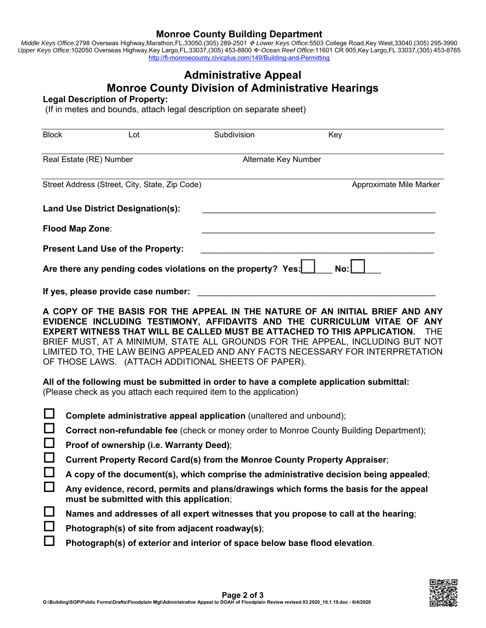### **Monroe County Building Department**

*Middle Keys Office:*2798 Overseas Highway,Marathon,FL,33050,(305) 289-2501  *Lower Keys Office:*5503 College Road,Key West,33040,(305) 295-3990 Upper Keys Office:102050 Overseas Highway,Key Largo,FL,33037,(305) 453-8800 *↔ Ocean Reef Office*:11601 CR 905,Key Largo,FL 33037,(305) 453-8765 http://fl-monroecounty.civicplus.com/149/Building-and-Permitting

# **Administrative Appeal Monroe County Division of Administrative Hearings**

#### **Legal Description of Property:**

(If in metes and bounds, attach legal description on separate sheet)

| <b>Block</b> | Lot                                                                                                                                                                                                                                                                                                       | Subdivision          | Key                                                                                                                                                                                                                                                                                                                                      |  |  |  |
|--------------|-----------------------------------------------------------------------------------------------------------------------------------------------------------------------------------------------------------------------------------------------------------------------------------------------------------|----------------------|------------------------------------------------------------------------------------------------------------------------------------------------------------------------------------------------------------------------------------------------------------------------------------------------------------------------------------------|--|--|--|
|              | Real Estate (RE) Number                                                                                                                                                                                                                                                                                   | Alternate Key Number |                                                                                                                                                                                                                                                                                                                                          |  |  |  |
|              |                                                                                                                                                                                                                                                                                                           |                      |                                                                                                                                                                                                                                                                                                                                          |  |  |  |
|              | Street Address (Street, City, State, Zip Code)                                                                                                                                                                                                                                                            |                      | Approximate Mile Marker                                                                                                                                                                                                                                                                                                                  |  |  |  |
|              | <b>Land Use District Designation(s):</b>                                                                                                                                                                                                                                                                  |                      |                                                                                                                                                                                                                                                                                                                                          |  |  |  |
|              | Flood Map Zone:                                                                                                                                                                                                                                                                                           |                      |                                                                                                                                                                                                                                                                                                                                          |  |  |  |
|              | <b>Present Land Use of the Property:</b>                                                                                                                                                                                                                                                                  |                      |                                                                                                                                                                                                                                                                                                                                          |  |  |  |
|              | Are there any pending codes violations on the property? Yes:                                                                                                                                                                                                                                              |                      | No:                                                                                                                                                                                                                                                                                                                                      |  |  |  |
|              | If yes, please provide case number:                                                                                                                                                                                                                                                                       |                      |                                                                                                                                                                                                                                                                                                                                          |  |  |  |
|              | <b>EXPERT WITNESS THAT WILL BE CALLED MUST BE ATTACHED TO THIS APPLICATION.</b><br>OF THOSE LAWS. (ATTACH ADDITIONAL SHEETS OF PAPER).<br>All of the following must be submitted in order to have a complete application submittal:<br>(Please check as you attach each required item to the application) |                      | A COPY OF THE BASIS FOR THE APPEAL IN THE NATURE OF AN INITIAL BRIEF AND ANY<br>EVIDENCE INCLUDING TESTIMONY, AFFIDAVITS AND THE CURRICULUM VITAE OF ANY<br><b>THE</b><br>BRIEF MUST, AT A MINIMUM, STATE ALL GROUNDS FOR THE APPEAL, INCLUDING BUT NOT<br>LIMITED TO, THE LAW BEING APPEALED AND ANY FACTS NECESSARY FOR INTERPRETATION |  |  |  |
|              | Complete administrative appeal application (unaltered and unbound);                                                                                                                                                                                                                                       |                      |                                                                                                                                                                                                                                                                                                                                          |  |  |  |
| $\Box$       |                                                                                                                                                                                                                                                                                                           |                      | <b>Correct non-refundable fee</b> (check or money order to Monroe County Building Department);                                                                                                                                                                                                                                           |  |  |  |
| Ш            | Proof of ownership (i.e. Warranty Deed);                                                                                                                                                                                                                                                                  |                      |                                                                                                                                                                                                                                                                                                                                          |  |  |  |
| $\Box$       | Current Property Record Card(s) from the Monroe County Property Appraiser;<br>A copy of the document(s), which comprise the administrative decision being appealed;                                                                                                                                       |                      |                                                                                                                                                                                                                                                                                                                                          |  |  |  |
|              |                                                                                                                                                                                                                                                                                                           |                      |                                                                                                                                                                                                                                                                                                                                          |  |  |  |
| $\Box$       | Any evidence, record, permits and plans/drawings which forms the basis for the appeal<br>must be submitted with this application;                                                                                                                                                                         |                      |                                                                                                                                                                                                                                                                                                                                          |  |  |  |
| $\sqcup$     | Names and addresses of all expert witnesses that you propose to call at the hearing;                                                                                                                                                                                                                      |                      |                                                                                                                                                                                                                                                                                                                                          |  |  |  |
| ப            | Photograph(s) of site from adjacent roadway(s);                                                                                                                                                                                                                                                           |                      |                                                                                                                                                                                                                                                                                                                                          |  |  |  |
| $\Box$       | Photograph(s) of exterior and interior of space below base flood elevation.                                                                                                                                                                                                                               |                      |                                                                                                                                                                                                                                                                                                                                          |  |  |  |